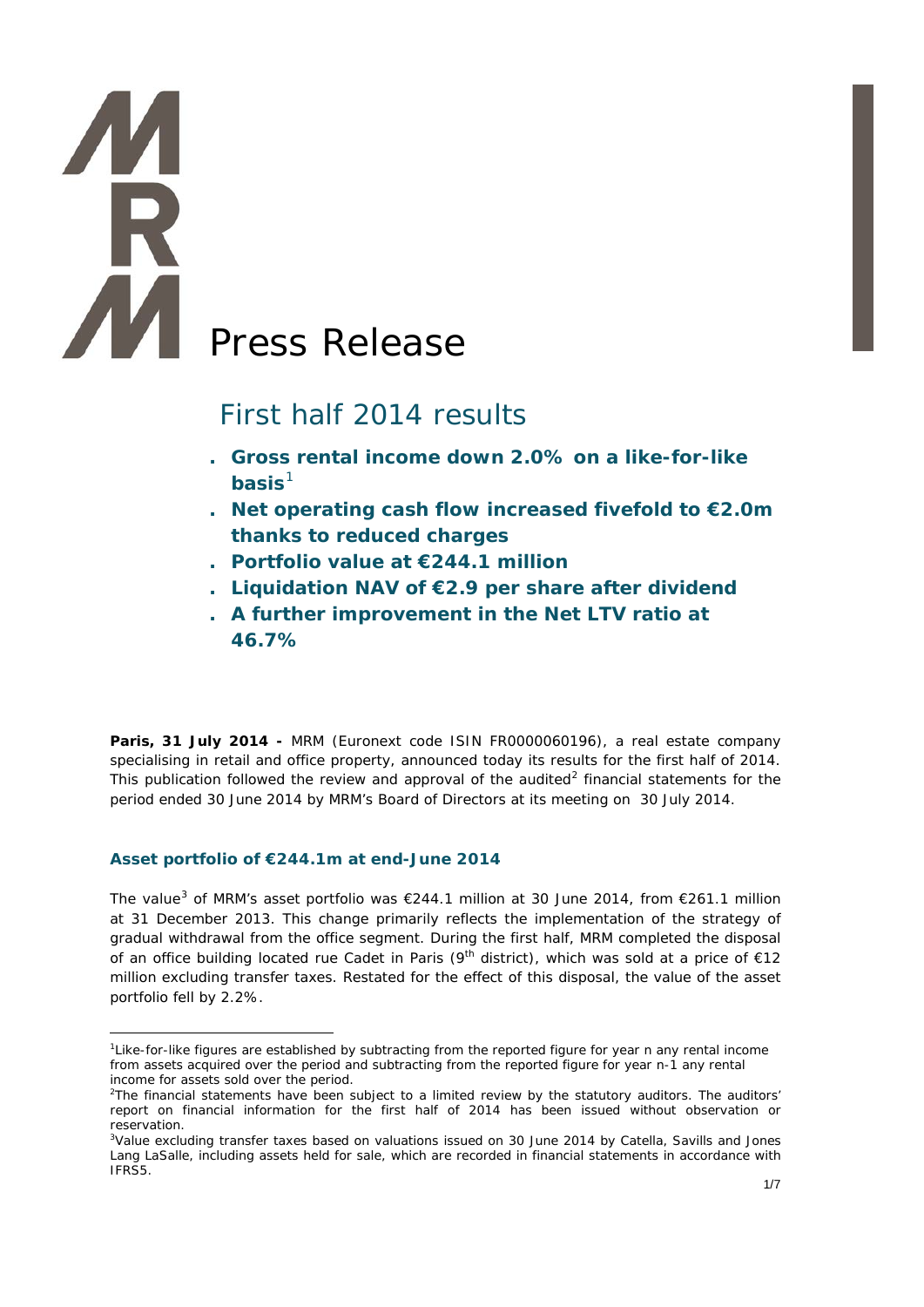# Press Release

# First half 2014 results

- **. Gross rental income down 2.0% on a like-for-like basis**[1](#page-0-0)
- **. Net operating cash flow increased fivefold to €2.0m thanks to reduced charges**
- **. Portfolio value at €244.1 million**
- **. Liquidation NAV of €2.9 per share after dividend**
- **. A further improvement in the Net LTV ratio at 46.7%**

**Paris, 31 July 2014 -** MRM (Euronext code ISIN FR0000060196), a real estate company specialising in retail and office property, announced today its results for the first half of 2014. This publication followed the review and approval of the audited<sup>[2](#page-0-1)</sup> financial statements for the period ended 30 June 2014 by MRM's Board of Directors at its meeting on 30 July 2014.

### **Asset portfolio of €244.1m at end-June 2014**

The value<sup>[3](#page-0-2)</sup> of MRM's asset portfolio was €244.1 million at 30 June 2014, from €261.1 million at 31 December 2013. This change primarily reflects the implementation of the strategy of gradual withdrawal from the office segment. During the first half, MRM completed the disposal of an office building located rue Cadet in Paris ( $9<sup>th</sup>$  district), which was sold at a price of  $€12$ million excluding transfer taxes. Restated for the effect of this disposal, the value of the asset portfolio fell by 2.2%.

<span id="page-0-0"></span><sup>&</sup>lt;u>.</u> 1 Like-for-like figures are established by subtracting from the reported figure for year n any rental income from assets acquired over the period and subtracting from the reported figure for year n-1 any rental income for assets sold over the period.

<span id="page-0-1"></span><sup>&</sup>lt;sup>2</sup>The financial statements have been subject to a limited review by the statutory auditors. The auditors' report on financial information for the first half of 2014 has been issued without observation or reservation.

<span id="page-0-2"></span><sup>&</sup>lt;sup>3</sup>Value excluding transfer taxes based on valuations issued on 30 June 2014 by Catella, Savills and Jones Lang LaSalle, including assets held for sale, which are recorded in financial statements in accordance with IFRS5.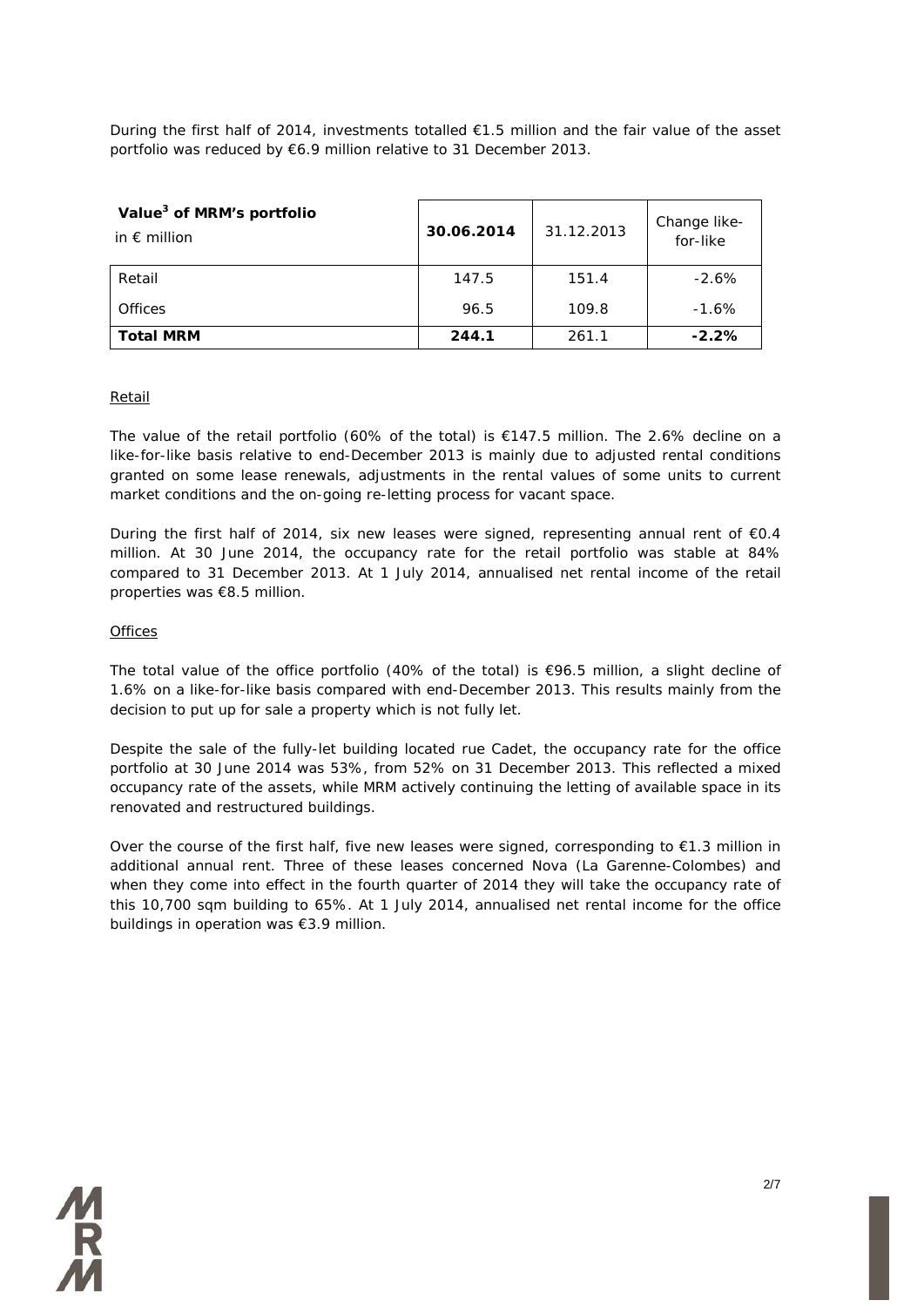During the first half of 2014, investments totalled €1.5 million and the fair value of the asset portfolio was reduced by €6.9 million relative to 31 December 2013.

| Value <sup>3</sup> of MRM's portfolio<br>in $\epsilon$ million | 30.06.2014 | 31.12.2013 | Change like-<br>for-like |
|----------------------------------------------------------------|------------|------------|--------------------------|
| Retail                                                         | 147.5      | 151.4      | $-2.6%$                  |
| Offices                                                        | 96.5       | 109.8      | $-1.6%$                  |
| <b>Total MRM</b>                                               | 244.1      | 261.1      | $-2.2%$                  |

### Retail

The value of the retail portfolio (60% of the total) is  $€147.5$  million. The 2.6% decline on a like-for-like basis relative to end-December 2013 is mainly due to adjusted rental conditions granted on some lease renewals, adjustments in the rental values of some units to current market conditions and the on-going re-letting process for vacant space.

During the first half of 2014, six new leases were signed, representing annual rent of €0.4 million. At 30 June 2014, the occupancy rate for the retail portfolio was stable at 84% compared to 31 December 2013. At 1 July 2014, annualised net rental income of the retail properties was €8.5 million.

### **Offices**

The total value of the office portfolio (40% of the total) is  $\epsilon$ 96.5 million, a slight decline of 1.6% on a like-for-like basis compared with end-December 2013. This results mainly from the decision to put up for sale a property which is not fully let.

Despite the sale of the fully-let building located rue Cadet, the occupancy rate for the office portfolio at 30 June 2014 was 53%, from 52% on 31 December 2013. This reflected a mixed occupancy rate of the assets, while MRM actively continuing the letting of available space in its renovated and restructured buildings.

Over the course of the first half, five new leases were signed, corresponding to  $E$ 1.3 million in additional annual rent. Three of these leases concerned Nova (La Garenne-Colombes) and when they come into effect in the fourth quarter of 2014 they will take the occupancy rate of this 10,700 sqm building to 65%. At 1 July 2014, annualised net rental income for the office buildings in operation was €3.9 million.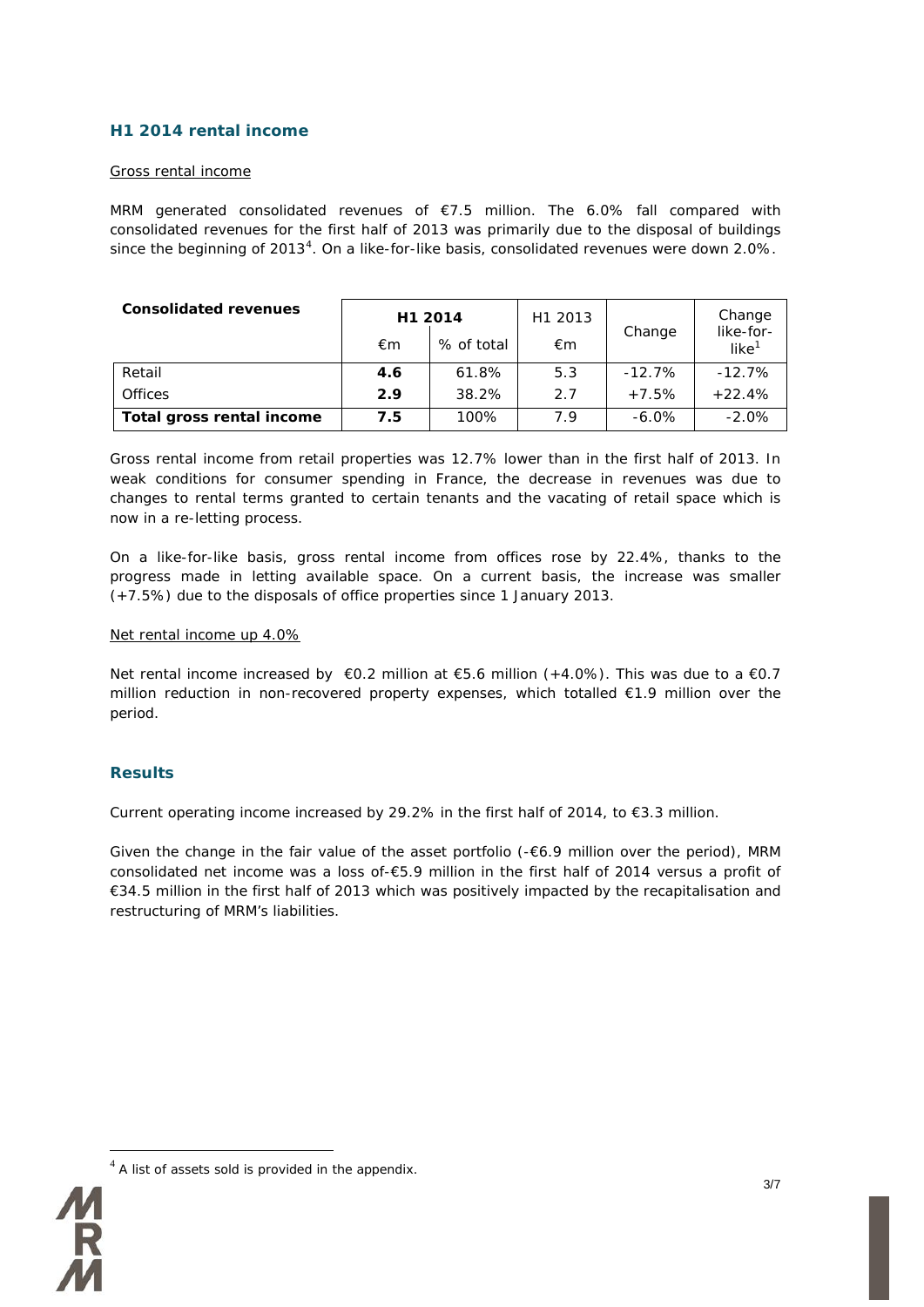### **H1 2014 rental income**

### Gross rental income

MRM generated consolidated revenues of €7.5 million. The 6.0% fall compared with consolidated revenues for the first half of 2013 was primarily due to the disposal of buildings since the beginning of 2013<sup>[4](#page-2-0)</sup>. On a like-for-like basis, consolidated revenues were down 2.0%.

| <b>Consolidated revenues</b> | H1 2014<br>% of total<br>€m |       | H1 2013<br>€m | Change    | Change<br>like-for-<br>like <sup>1</sup> |
|------------------------------|-----------------------------|-------|---------------|-----------|------------------------------------------|
| Retail                       | 4.6                         | 61.8% | 5.3           | $-12.7\%$ | $-12.7\%$                                |
| <b>Offices</b>               | 2.9                         | 38.2% | 2.7           | $+7.5%$   | $+22.4%$                                 |
| Total gross rental income    | 7.5                         | 100%  | 7.9           | $-6.0\%$  | $-2.0%$                                  |

Gross rental income from retail properties was 12.7% lower than in the first half of 2013. In weak conditions for consumer spending in France, the decrease in revenues was due to changes to rental terms granted to certain tenants and the vacating of retail space which is now in a re-letting process.

On a like-for-like basis, gross rental income from offices rose by 22.4%, thanks to the progress made in letting available space. On a current basis, the increase was smaller (+7.5%) due to the disposals of office properties since 1 January 2013.

### Net rental income up 4.0%

Net rental income increased by €0.2 million at €5.6 million (+4.0%). This was due to a €0.7 million reduction in non-recovered property expenses, which totalled €1.9 million over the period.

### **Results**

Current operating income increased by 29.2% in the first half of 2014, to  $\epsilon$ 3.3 million.

Given the change in the fair value of the asset portfolio ( $-6.9$  million over the period), MRM consolidated net income was a loss of-€5.9 million in the first half of 2014 versus a profit of €34.5 million in the first half of 2013 which was positively impacted by the recapitalisation and restructuring of MRM's liabilities.

<span id="page-2-0"></span>

 $4$  A list of assets sold is provided in the appendix.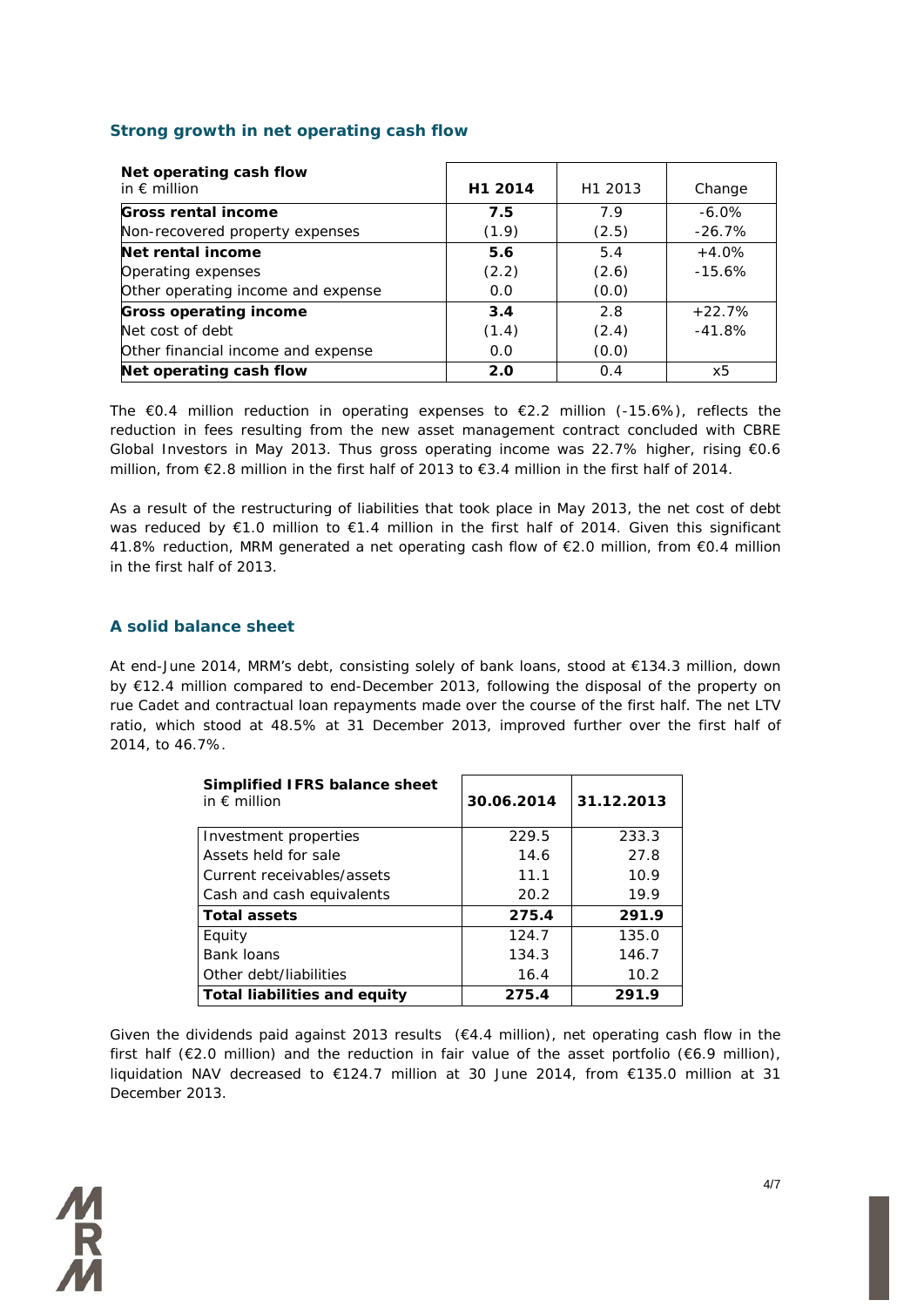### **Strong growth in net operating cash flow**

| Net operating cash flow<br>in $\epsilon$ million | H1 2014 | H1 2013 | Change    |
|--------------------------------------------------|---------|---------|-----------|
| Gross rental income                              | 7.5     | 7.9     | $-6.0\%$  |
| Non-recovered property expenses                  | (1.9)   | (2.5)   | $-26.7\%$ |
| Net rental income                                | 5.6     | 5.4     | $+4.0%$   |
| Operating expenses                               | (2.2)   | (2.6)   | $-15.6%$  |
| Other operating income and expense               | 0.0     | (0.0)   |           |
| <b>Gross operating income</b>                    | 3.4     | 2.8     | $+22.7%$  |
| Net cost of debt                                 | (1.4)   | (2.4)   | $-41.8%$  |
| Other financial income and expense               | 0.0     | (0.0)   |           |
| Net operating cash flow                          | 2.0     | 0.4     | х5        |

The  $\epsilon$ 0.4 million reduction in operating expenses to  $\epsilon$ 2.2 million (-15.6%), reflects the reduction in fees resulting from the new asset management contract concluded with CBRE Global Investors in May 2013. Thus gross operating income was 22.7% higher, rising €0.6 million, from €2.8 million in the first half of 2013 to €3.4 million in the first half of 2014.

As a result of the restructuring of liabilities that took place in May 2013, the net cost of debt was reduced by €1.0 million to €1.4 million in the first half of 2014. Given this significant 41.8% reduction, MRM generated a net operating cash flow of €2.0 million, from €0.4 million in the first half of 2013.

### **A solid balance sheet**

At end-June 2014, MRM's debt, consisting solely of bank loans, stood at €134.3 million, down by €12.4 million compared to end-December 2013, following the disposal of the property on rue Cadet and contractual loan repayments made over the course of the first half. The net LTV ratio, which stood at 48.5% at 31 December 2013, improved further over the first half of 2014, to 46.7%.

| Simplified IFRS balance sheet<br>in $\epsilon$ million | 30.06.2014 | 31.12.2013 |
|--------------------------------------------------------|------------|------------|
| Investment properties                                  | 229.5      | 233.3      |
| Assets held for sale                                   | 14.6       | 27.8       |
| Current receivables/assets                             | 11.1       | 10.9       |
| Cash and cash equivalents                              | 20.2       | 19.9       |
| Total assets                                           | 275.4      | 291.9      |
| Equity                                                 | 124.7      | 135.0      |
| <b>Bank loans</b>                                      | 134.3      | 146.7      |
| Other debt/liabilities                                 | 16.4       | 10.2       |
| Total liabilities and equity                           | 275.4      | 291.9      |

Given the dividends paid against 2013 results  $(€4.4$  million), net operating cash flow in the first half ( $\epsilon$ 2.0 million) and the reduction in fair value of the asset portfolio ( $\epsilon$ 6.9 million), liquidation NAV decreased to €124.7 million at 30 June 2014, from €135.0 million at 31 December 2013.

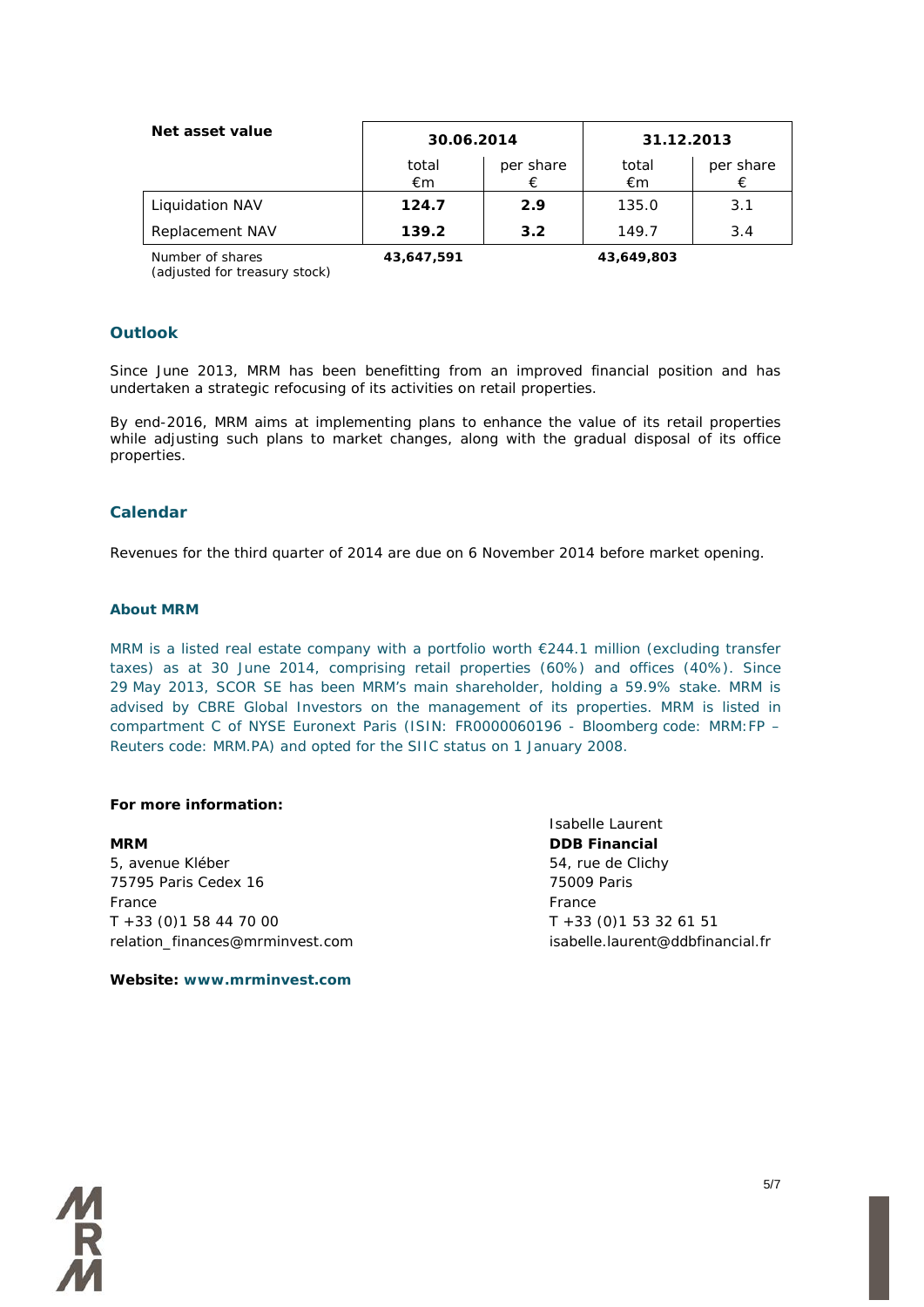| Net asset value  |             | 30.06.2014     |             | 31.12.2013     |  |
|------------------|-------------|----------------|-------------|----------------|--|
|                  | total<br>€m | per share<br>€ | total<br>€m | per share<br>€ |  |
| Liquidation NAV  | 124.7       | 2.9            | 135.0       | 3.1            |  |
| Replacement NAV  | 139.2       | 3.2            | 149.7       | 3.4            |  |
| Number of shares | 43.647.591  |                | 43,649,803  |                |  |

*Number of shares (adjusted for treasury stock)*

### **Outlook**

Since June 2013, MRM has been benefitting from an improved financial position and has undertaken a strategic refocusing of its activities on retail properties.

By end-2016, MRM aims at implementing plans to enhance the value of its retail properties while adjusting such plans to market changes, along with the gradual disposal of its office properties.

### **Calendar**

Revenues for the third quarter of 2014 are due on 6 November 2014 before market opening.

### **About MRM**

MRM is a listed real estate company with a portfolio worth €244.1 million (excluding transfer taxes) as at 30 June 2014, comprising retail properties (60%) and offices (40%). Since 29 May 2013, SCOR SE has been MRM's main shareholder, holding a 59.9% stake. MRM is advised by CBRE Global Investors on the management of its properties. MRM is listed in compartment C of NYSE Euronext Paris (ISIN: FR0000060196 - Bloomberg code: MRM:FP – Reuters code: MRM.PA) and opted for the SIIC status on 1 January 2008.

### **For more information:**

5, avenue Kléber 65, avenue Kléber 54, rue de Clichy 75795 Paris Cedex 16 75009 Paris France France T +33 (0)1 58 44 70 00 T +33 (0)1 53 32 61 51 relation\_finances@mrminvest.com isabelle.laurent@ddbfinancial.fr

Isabelle Laurent **MRM DDB Financial**

### **Website: www.mrminvest.com**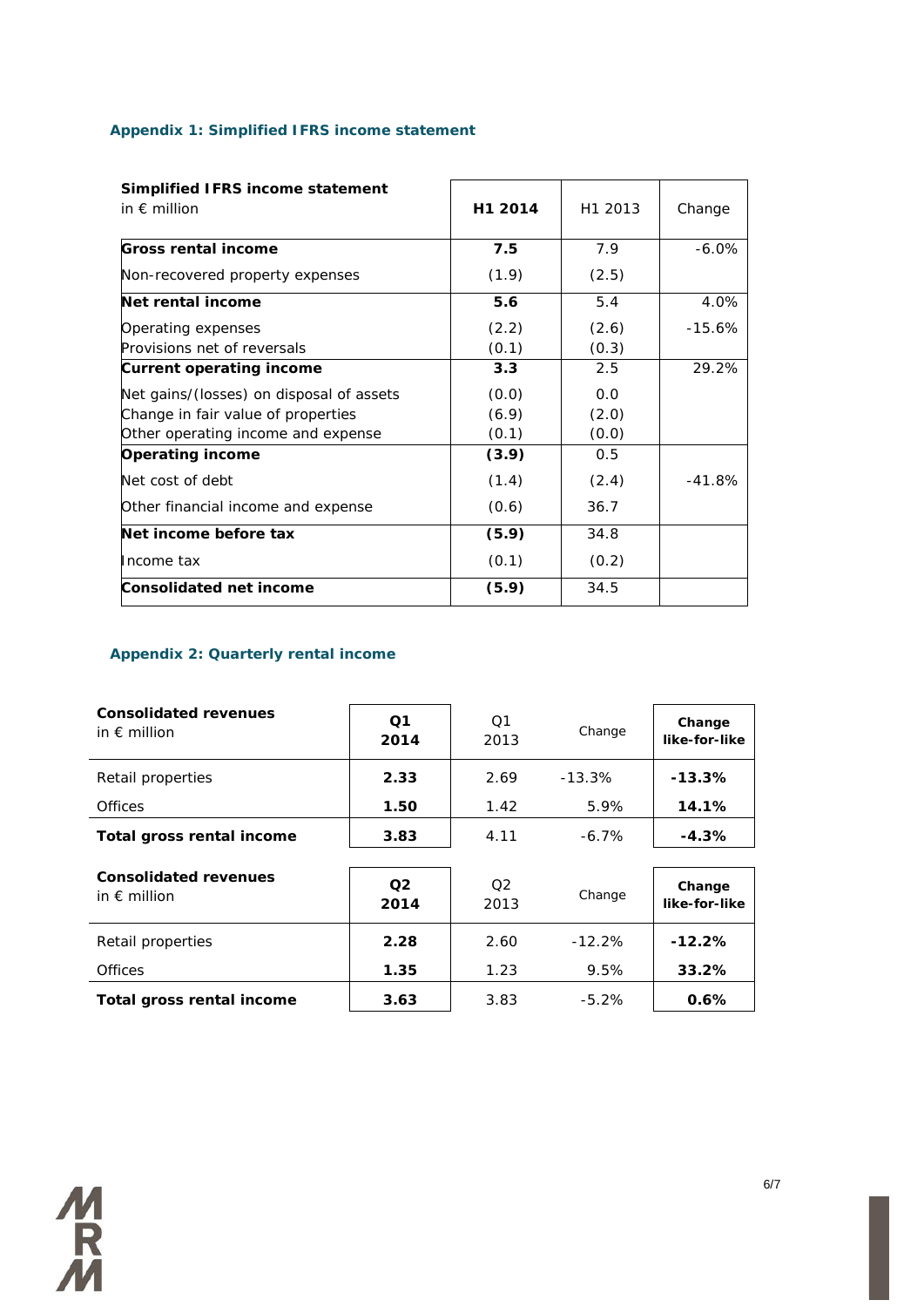### **Appendix 1: Simplified IFRS income statement**

| Simplified IFRS income statement<br>in $\epsilon$ million | H1 2014 | H1 2013 | Change    |
|-----------------------------------------------------------|---------|---------|-----------|
| <b>Gross rental income</b>                                | 7.5     | 7.9     | $-6.0\%$  |
| Non-recovered property expenses                           | (1.9)   | (2.5)   |           |
| Net rental income                                         | 5.6     | 5.4     | 4.0%      |
| Operating expenses                                        | (2.2)   | (2.6)   | $-15.6\%$ |
| Provisions net of reversals                               | (0.1)   | (0.3)   |           |
| <b>Current operating income</b>                           | 3.3     | 2.5     | 29.2%     |
| Net gains/(losses) on disposal of assets                  | (0.0)   | 0.0     |           |
| Change in fair value of properties                        | (6.9)   | (2.0)   |           |
| Other operating income and expense                        | (0.1)   | (0.0)   |           |
| <b>Operating income</b>                                   | (3.9)   | 0.5     |           |
| Net cost of debt                                          | (1.4)   | (2.4)   | $-41.8%$  |
| Other financial income and expense                        | (0.6)   | 36.7    |           |
| Net income before tax                                     | (5.9)   | 34.8    |           |
| Income tax                                                | (0.1)   | (0.2)   |           |
| Consolidated net income                                   | (5.9)   | 34.5    |           |

### **Appendix 2: Quarterly rental income**

| <b>Consolidated revenues</b><br>in $\epsilon$ million | O <sub>1</sub><br>2014 | O <sub>1</sub><br>2013 | Change    | Change<br>like-for-like |
|-------------------------------------------------------|------------------------|------------------------|-----------|-------------------------|
| Retail properties                                     | 2.33                   | 2.69                   | $-13.3\%$ | $-13.3%$                |
| <b>Offices</b>                                        | 1.50                   | 1.42                   | 5.9%      | 14.1%                   |
| Total gross rental income                             | 3.83                   | 4.11                   | $-6.7\%$  | $-4.3%$                 |
| <b>Consolidated revenues</b><br>in $\epsilon$ million | O <sub>2</sub><br>2014 | O <sub>2</sub><br>2013 | Change    | Change<br>like-for-like |
| Retail properties                                     | 2.28                   | 2.60                   | $-12.2\%$ | -12.2%                  |
| <b>Offices</b>                                        | 1.35                   | 1.23                   | 9.5%      | 33.2%                   |
| Total gross rental income                             | 3.63                   | 3.83                   | $-5.2\%$  | 0.6%                    |